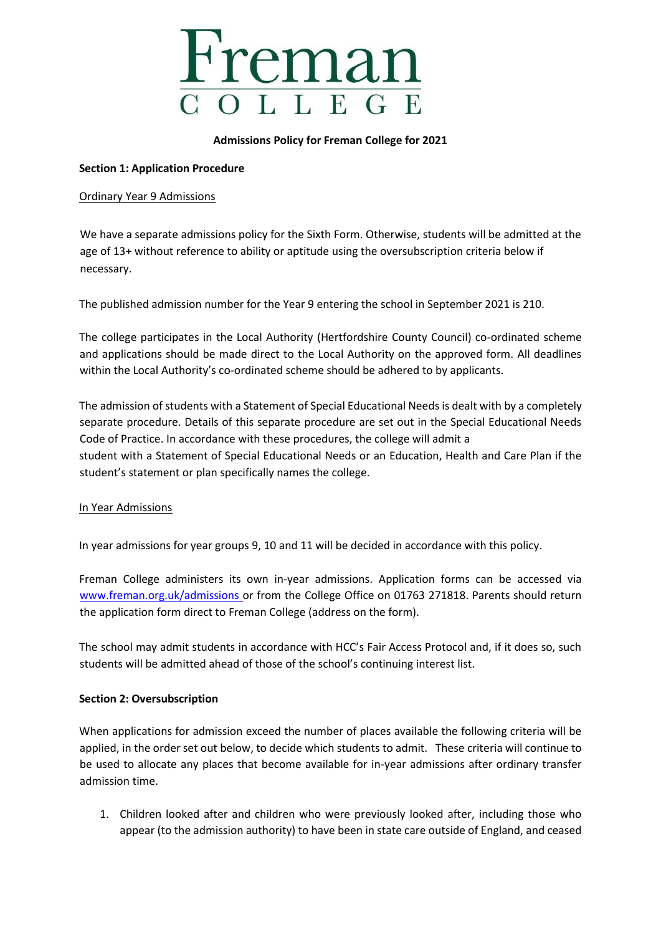

#### **Admissions Policy for Freman College for 2021**

## **Section 1: Application Procedure**

## Ordinary Year 9 Admissions

We have a separate admissions policy for the Sixth Form. Otherwise, students will be admitted at the age of 13+ without reference to ability or aptitude using the oversubscription criteria below if necessary.

The published admission number for the Year 9 entering the school in September 2021 is 210.

The college participates in the Local Authority (Hertfordshire County Council) co-ordinated scheme and applications should be made direct to the Local Authority on the approved form. All deadlines within the Local Authority's co-ordinated scheme should be adhered to by applicants.

The admission of students with a Statement of Special Educational Needs is dealt with by a completely separate procedure. Details of this separate procedure are set out in the Special Educational Needs Code of Practice. In accordance with these procedures, the college will admit a student with a Statement of Special Educational Needs or an Education, Health and Care Plan if the student's statement or plan specifically names the college.

## In Year Admissions

In year admissions for year groups 9, 10 and 11 will be decided in accordance with this policy.

Freman College administers its own in-year admissions. Application forms can be accessed via [www.freman.org.uk/admissions or](http://www.freman.org.uk/admissions) from the College Office on 01763 271818. Parents should return the application form direct to Freman College (address on the form).

The school may admit students in accordance with HCC's Fair Access Protocol and, if it does so, such students will be admitted ahead of those of the school's continuing interest list.

## **Section 2: Oversubscription**

When applications for admission exceed the number of places available the following criteria will be applied, in the order set out below, to decide which students to admit. These criteria will continue to be used to allocate any places that become available for in-year admissions after ordinary transfer admission time.

1. Children looked after and children who were previously looked after, including those who appear (to the admission authority) to have been in state care outside of England, and ceased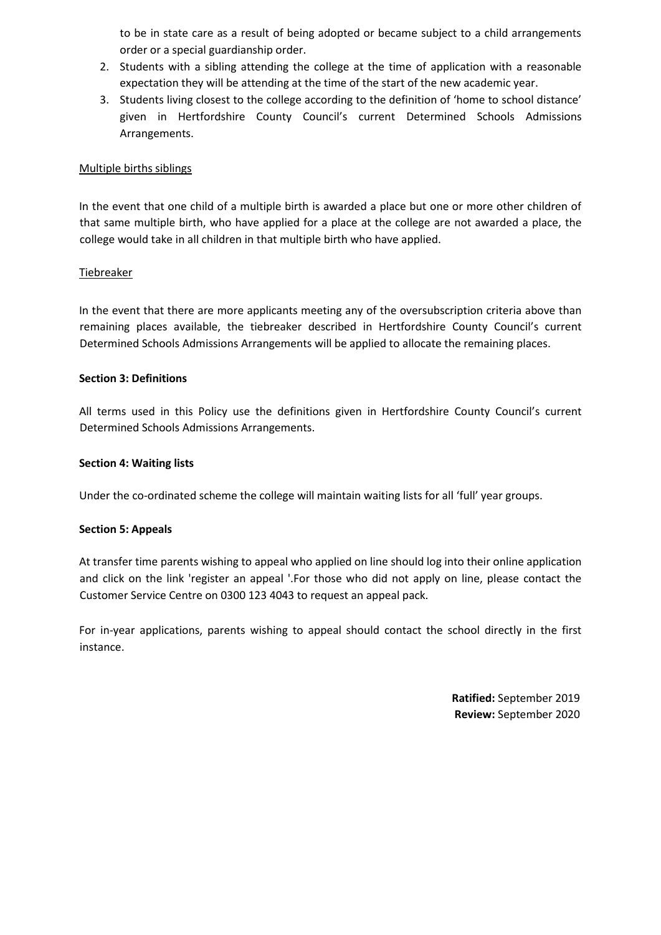to be in state care as a result of being adopted or became subject to a child arrangements order or a special guardianship order.

- 2. Students with a sibling attending the college at the time of application with a reasonable expectation they will be attending at the time of the start of the new academic year.
- 3. Students living closest to the college according to the definition of 'home to school distance' given in Hertfordshire County Council's current Determined Schools Admissions Arrangements.

## Multiple births siblings

In the event that one child of a multiple birth is awarded a place but one or more other children of that same multiple birth, who have applied for a place at the college are not awarded a place, the college would take in all children in that multiple birth who have applied.

## Tiebreaker

In the event that there are more applicants meeting any of the oversubscription criteria above than remaining places available, the tiebreaker described in Hertfordshire County Council's current Determined Schools Admissions Arrangements will be applied to allocate the remaining places.

## **Section 3: Definitions**

All terms used in this Policy use the definitions given in Hertfordshire County Council's current Determined Schools Admissions Arrangements.

## **Section 4: Waiting lists**

Under the co-ordinated scheme the college will maintain waiting lists for all 'full' year groups.

## **Section 5: Appeals**

At transfer time parents wishing to appeal who applied on line should log into their online application and click on the link 'register an appeal '.For those who did not apply on line, please contact the Customer Service Centre on 0300 123 4043 to request an appeal pack.

For in-year applications, parents wishing to appeal should contact the school directly in the first instance.

> **Ratified:** September 2019 **Review:** September 2020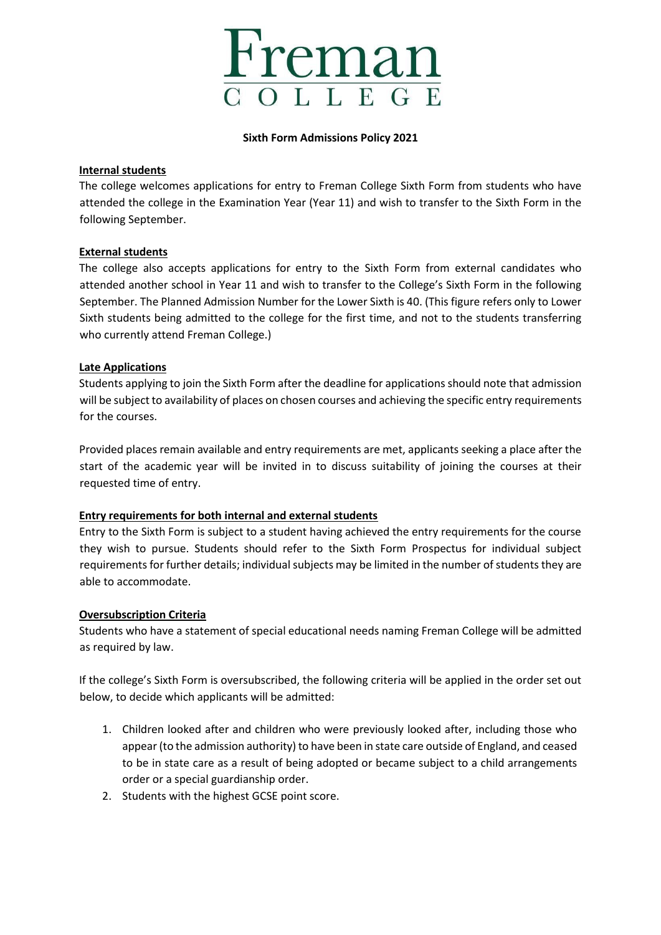

#### **Sixth Form Admissions Policy 2021**

## **Internal students**

The college welcomes applications for entry to Freman College Sixth Form from students who have attended the college in the Examination Year (Year 11) and wish to transfer to the Sixth Form in the following September.

## **External students**

The college also accepts applications for entry to the Sixth Form from external candidates who attended another school in Year 11 and wish to transfer to the College's Sixth Form in the following September. The Planned Admission Number for the Lower Sixth is 40. (This figure refers only to Lower Sixth students being admitted to the college for the first time, and not to the students transferring who currently attend Freman College.)

## **Late Applications**

Students applying to join the Sixth Form after the deadline for applications should note that admission will be subject to availability of places on chosen courses and achieving the specific entry requirements for the courses.

Provided places remain available and entry requirements are met, applicants seeking a place after the start of the academic year will be invited in to discuss suitability of joining the courses at their requested time of entry.

## **Entry requirements for both internal and external students**

Entry to the Sixth Form is subject to a student having achieved the entry requirements for the course they wish to pursue. Students should refer to the Sixth Form Prospectus for individual subject requirements for further details; individual subjects may be limited in the number of students they are able to accommodate.

## **Oversubscription Criteria**

Students who have a statement of special educational needs naming Freman College will be admitted as required by law.

If the college's Sixth Form is oversubscribed, the following criteria will be applied in the order set out below, to decide which applicants will be admitted:

- 1. Children looked after and children who were previously looked after, including those who appear (to the admission authority) to have been in state care outside of England, and ceased to be in state care as a result of being adopted or became subject to a child arrangements order or a special guardianship order.
- 2. Students with the highest GCSE point score.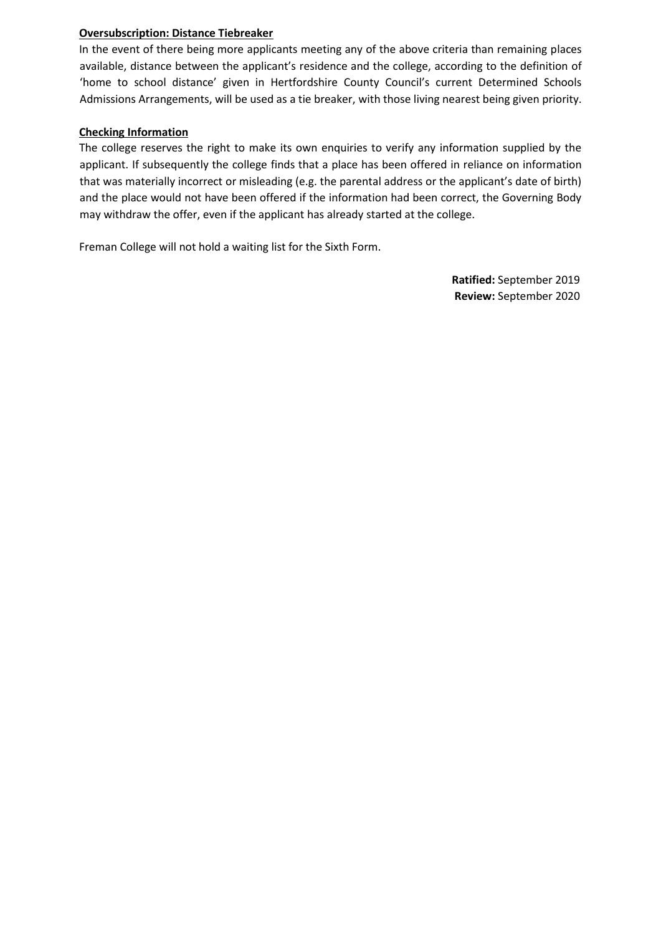## **Oversubscription: Distance Tiebreaker**

In the event of there being more applicants meeting any of the above criteria than remaining places available, distance between the applicant's residence and the college, according to the definition of 'home to school distance' given in Hertfordshire County Council's current Determined Schools Admissions Arrangements, will be used as a tie breaker, with those living nearest being given priority.

## **Checking Information**

The college reserves the right to make its own enquiries to verify any information supplied by the applicant. If subsequently the college finds that a place has been offered in reliance on information that was materially incorrect or misleading (e.g. the parental address or the applicant's date of birth) and the place would not have been offered if the information had been correct, the Governing Body may withdraw the offer, even if the applicant has already started at the college.

Freman College will not hold a waiting list for the Sixth Form.

**Ratified:** September 2019 **Review:** September 2020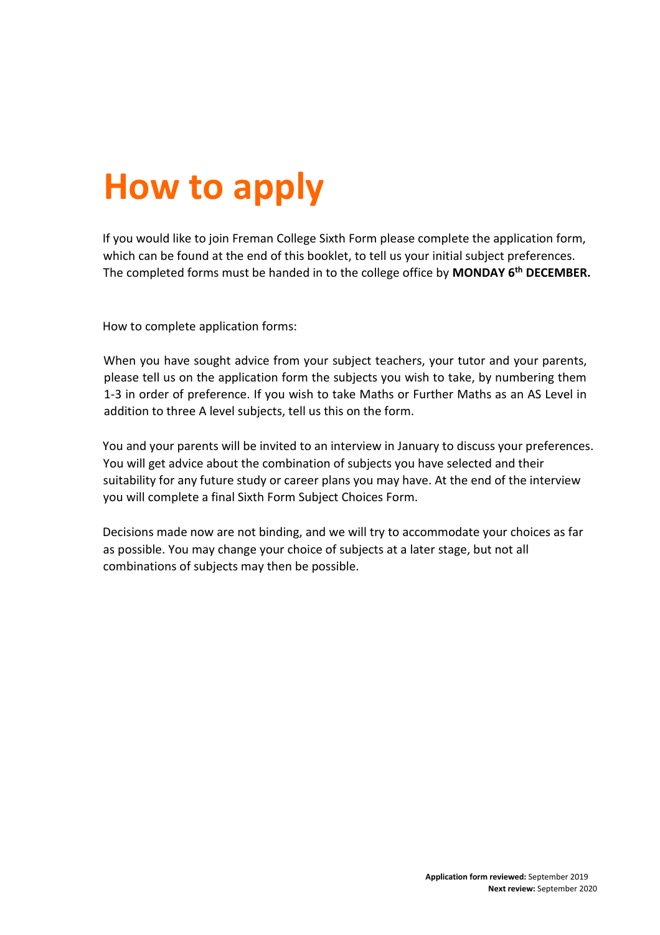# **How to apply**

If you would like to join Freman College Sixth Form please complete the application form, which can be found at the end of this booklet, to tell us your initial subject preferences. The completed forms must be handed in to the college office by **MONDAY 6 th DECEMBER.** 

How to complete application forms:

When you have sought advice from your subject teachers, your tutor and your parents, please tell us on the application form the subjects you wish to take, by numbering them 1-3 in order of preference. If you wish to take Maths or Further Maths as an AS Level in addition to three A level subjects, tell us this on the form.

You and your parents will be invited to an interview in January to discuss your preferences. You will get advice about the combination of subjects you have selected and their suitability for any future study or career plans you may have. At the end of the interview you will complete a final Sixth Form Subject Choices Form.

Decisions made now are not binding, and we will try to accommodate your choices as far as possible. You may change your choice of subjects at a later stage, but not all combinations of subjects may then be possible.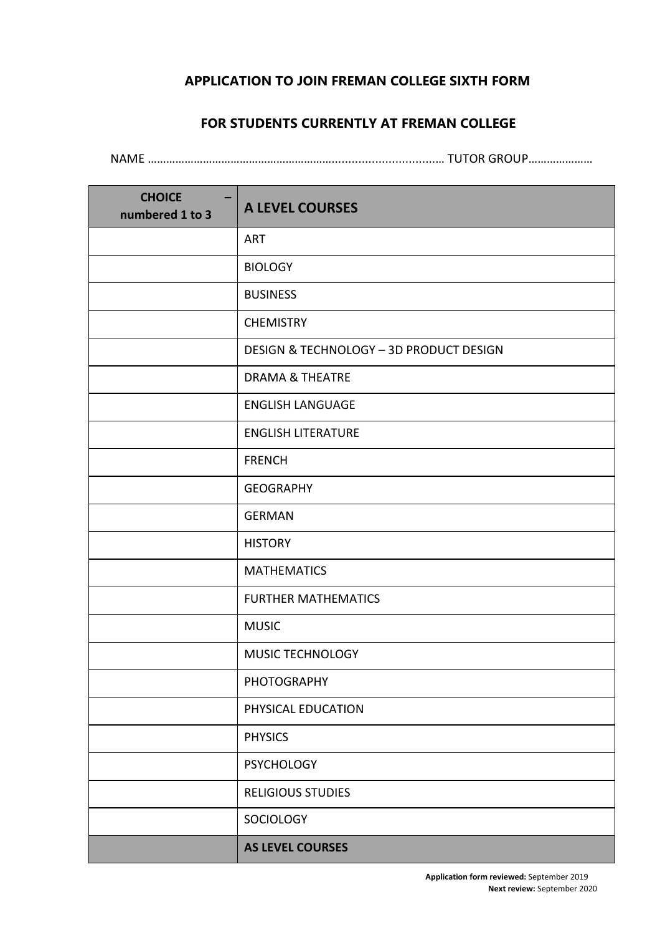## **APPLICATION TO JOIN FREMAN COLLEGE SIXTH FORM**

## **FOR STUDENTS CURRENTLY AT FREMAN COLLEGE**

NAME ……………………………………………………...............................… TUTOR GROUP…………………

| <b>CHOICE</b><br>numbered 1 to 3 | <b>A LEVEL COURSES</b>                  |
|----------------------------------|-----------------------------------------|
|                                  | <b>ART</b>                              |
|                                  | <b>BIOLOGY</b>                          |
|                                  | <b>BUSINESS</b>                         |
|                                  | <b>CHEMISTRY</b>                        |
|                                  | DESIGN & TECHNOLOGY - 3D PRODUCT DESIGN |
|                                  | <b>DRAMA &amp; THEATRE</b>              |
|                                  | <b>ENGLISH LANGUAGE</b>                 |
|                                  | <b>ENGLISH LITERATURE</b>               |
|                                  | <b>FRENCH</b>                           |
|                                  | <b>GEOGRAPHY</b>                        |
|                                  | <b>GERMAN</b>                           |
|                                  | <b>HISTORY</b>                          |
|                                  | <b>MATHEMATICS</b>                      |
|                                  | <b>FURTHER MATHEMATICS</b>              |
|                                  | <b>MUSIC</b>                            |
|                                  | MUSIC TECHNOLOGY                        |
|                                  | PHOTOGRAPHY                             |
|                                  | PHYSICAL EDUCATION                      |
|                                  | <b>PHYSICS</b>                          |
|                                  | <b>PSYCHOLOGY</b>                       |
|                                  | <b>RELIGIOUS STUDIES</b>                |
|                                  | SOCIOLOGY                               |
|                                  | <b>AS LEVEL COURSES</b>                 |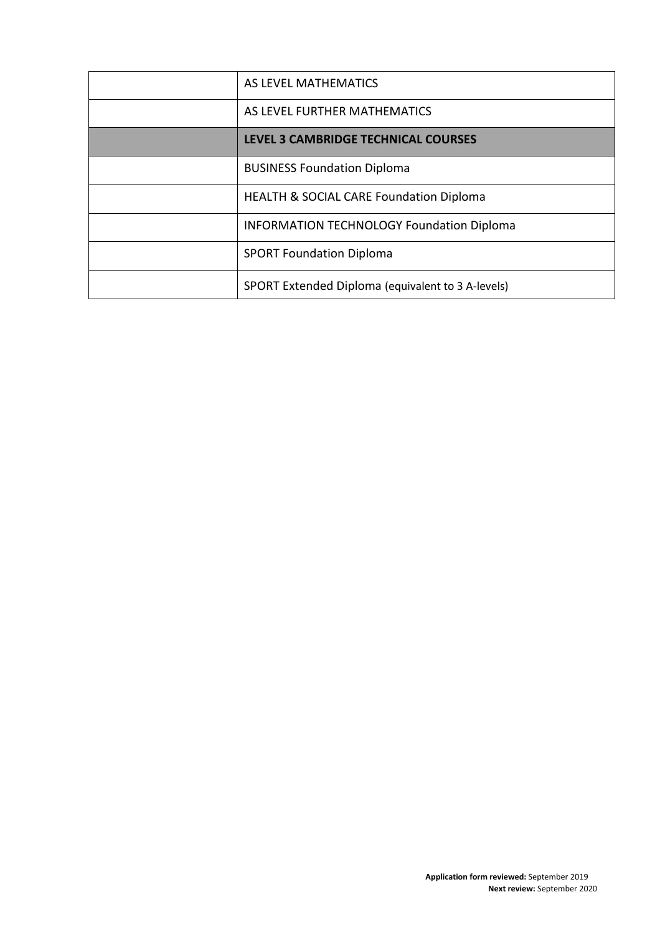| AS LEVEL MATHEMATICS                               |
|----------------------------------------------------|
| AS LEVEL FURTHER MATHEMATICS                       |
| LEVEL 3 CAMBRIDGE TECHNICAL COURSES                |
| <b>BUSINESS Foundation Diploma</b>                 |
| <b>HEALTH &amp; SOCIAL CARE Foundation Diploma</b> |
| <b>INFORMATION TECHNOLOGY Foundation Diploma</b>   |
| <b>SPORT Foundation Diploma</b>                    |
| SPORT Extended Diploma (equivalent to 3 A-levels)  |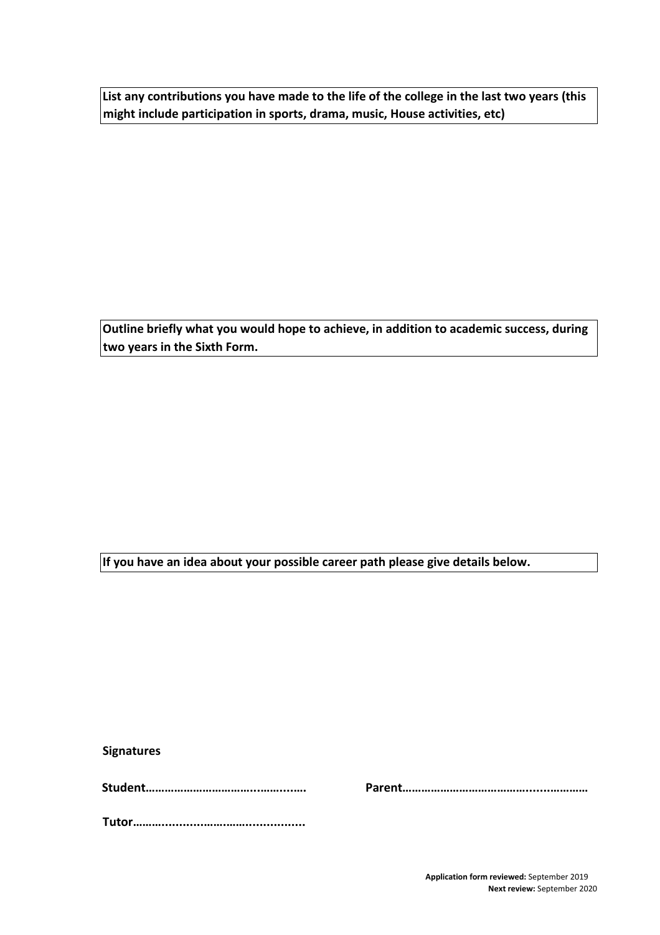**List any contributions you have made to the life of the college in the last two years (this might include participation in sports, drama, music, House activities, etc)** 

**Outline briefly what you would hope to achieve, in addition to academic success, during two years in the Sixth Form.** 

**If you have an idea about your possible career path please give details below.** 

**Signatures** 

**Student……………………………...……....…. Parent………………………………….......…………** 

**Tutor………............…….…….................** 

**Application form reviewed:** September 2019 **Next review:** September 2020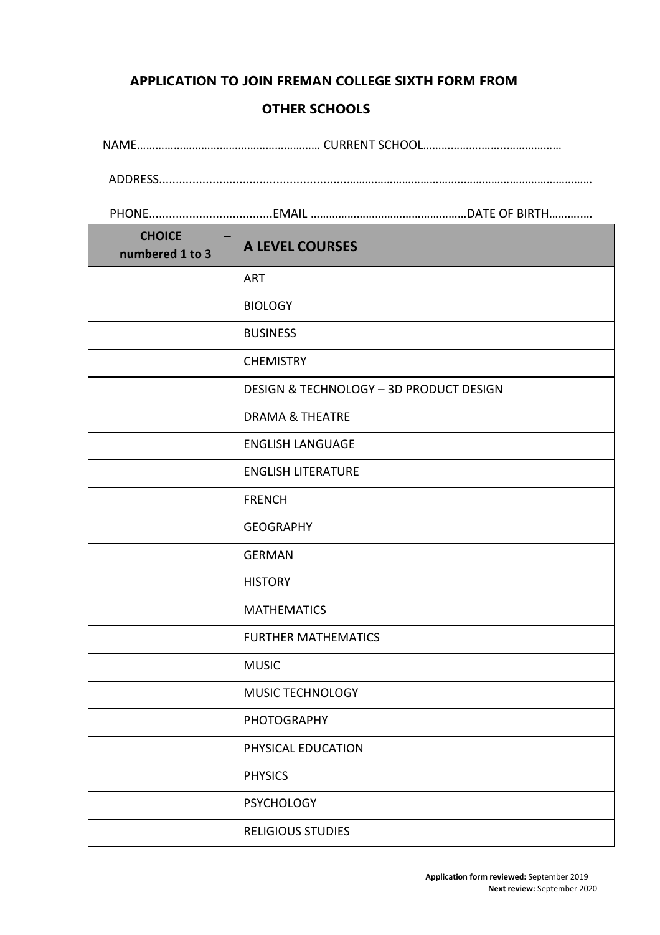## **APPLICATION TO JOIN FREMAN COLLEGE SIXTH FORM FROM**

## **OTHER SCHOOLS**

NAME…………………………………………………… CURRENT SCHOOL……………….……..………………

ADDRESS........................................................………………………………..……………………………………

PHONE.....................................EMAIL ……………………………………………DATE OF BIRTH………..…

| <b>CHOICE</b><br>numbered 1 to 3 | <b>A LEVEL COURSES</b>                  |
|----------------------------------|-----------------------------------------|
|                                  | <b>ART</b>                              |
|                                  | <b>BIOLOGY</b>                          |
|                                  | <b>BUSINESS</b>                         |
|                                  | <b>CHEMISTRY</b>                        |
|                                  | DESIGN & TECHNOLOGY - 3D PRODUCT DESIGN |
|                                  | <b>DRAMA &amp; THEATRE</b>              |
|                                  | <b>ENGLISH LANGUAGE</b>                 |
|                                  | <b>ENGLISH LITERATURE</b>               |
|                                  | <b>FRENCH</b>                           |
|                                  | <b>GEOGRAPHY</b>                        |
|                                  | <b>GERMAN</b>                           |
|                                  | <b>HISTORY</b>                          |
|                                  | <b>MATHEMATICS</b>                      |
|                                  | <b>FURTHER MATHEMATICS</b>              |
|                                  | <b>MUSIC</b>                            |
|                                  | MUSIC TECHNOLOGY                        |
|                                  | <b>PHOTOGRAPHY</b>                      |
|                                  | PHYSICAL EDUCATION                      |
|                                  | <b>PHYSICS</b>                          |
|                                  | <b>PSYCHOLOGY</b>                       |
|                                  | <b>RELIGIOUS STUDIES</b>                |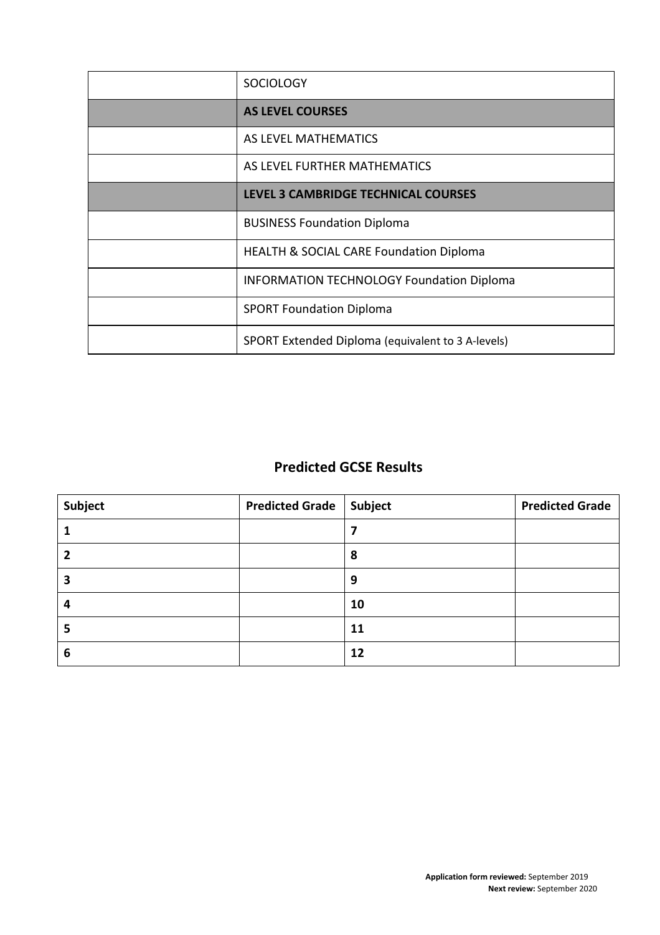| <b>SOCIOLOGY</b>                                   |
|----------------------------------------------------|
| <b>AS LEVEL COURSES</b>                            |
| AS LEVEL MATHEMATICS                               |
| AS LEVEL FURTHER MATHEMATICS                       |
| LEVEL 3 CAMBRIDGE TECHNICAL COURSES                |
| <b>BUSINESS Foundation Diploma</b>                 |
| <b>HEALTH &amp; SOCIAL CARE Foundation Diploma</b> |
| <b>INFORMATION TECHNOLOGY Foundation Diploma</b>   |
| <b>SPORT Foundation Diploma</b>                    |
| SPORT Extended Diploma (equivalent to 3 A-levels)  |

## **Predicted GCSE Results**

| Subject | <b>Predicted Grade   Subject</b> |    | <b>Predicted Grade</b> |
|---------|----------------------------------|----|------------------------|
|         |                                  |    |                        |
|         |                                  | 8  |                        |
|         |                                  | 9  |                        |
|         |                                  | 10 |                        |
|         |                                  | 11 |                        |
| b       |                                  | 12 |                        |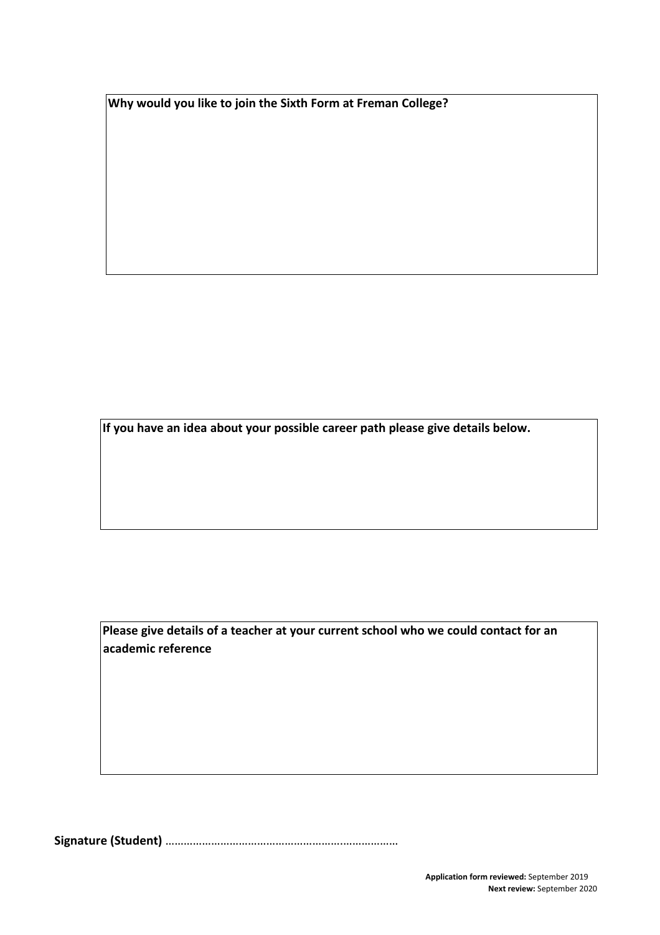**Why would you like to join the Sixth Form at Freman College?** 

**If you have an idea about your possible career path please give details below.** 

**Please give details of a teacher at your current school who we could contact for an academic reference** 

**Signature (Student)** ………………………………………………….………………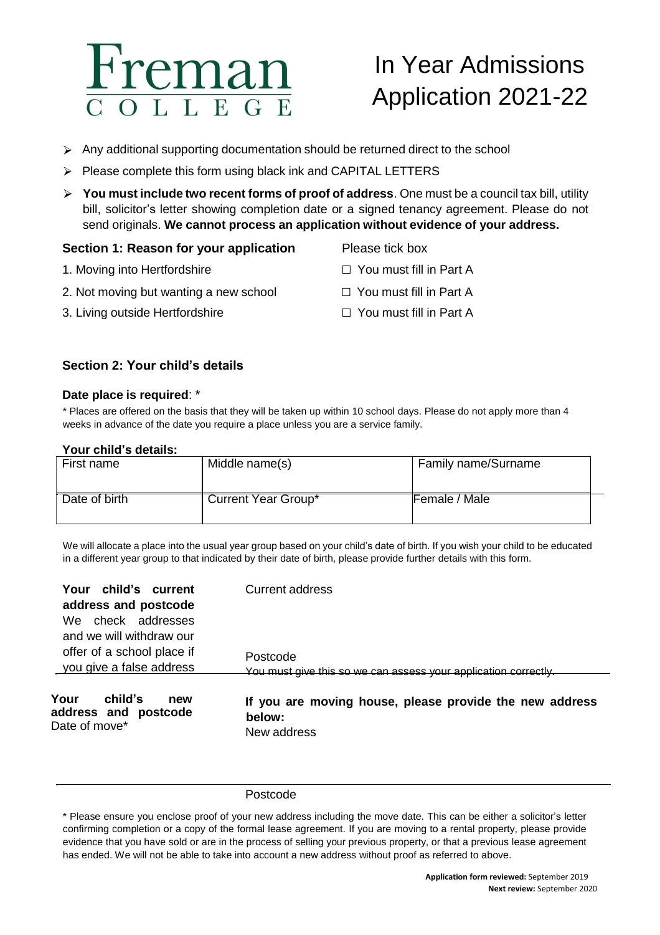## remai L L E G E

## In Year Admissions Application 2021-22

- $\triangleright$  Any additional supporting documentation should be returned direct to the school
- $\triangleright$  Please complete this form using black ink and CAPITAL LETTERS
- **You must include two recent forms of proof of address**. One must be a council tax bill, utility bill, solicitor's letter showing completion date or a signed tenancy agreement. Please do not send originals. **We cannot process an application without evidence of your address.**

## **Section 1: Reason for your application Please tick box**

- 1. Moving into Hertfordshire □ □ You must fill in Part A
- 2. Not moving but wanting a new school  $\Box$  You must fill in Part A
- 3. Living outside Hertfordshire □ □ You must fill in Part A
- 
- 
- -

## **Section 2: Your child's details**

## **Date place is required**: \*

\* Places are offered on the basis that they will be taken up within 10 school days. Please do not apply more than 4 weeks in advance of the date you require a place unless you are a service family.

## **Your child's details:**

| First name    | Middle name(s)             | Family name/Surname |  |
|---------------|----------------------------|---------------------|--|
| Date of birth | <b>Current Year Group*</b> | Female / Male       |  |

We will allocate a place into the usual year group based on your child's date of birth. If you wish your child to be educated in a different year group to that indicated by their date of birth, please provide further details with this form.

| Your child's current<br>address and postcode<br>We check addresses<br>and we will withdraw our<br>offer of a school place if | Current address<br>Postcode                                                                                                                         |
|------------------------------------------------------------------------------------------------------------------------------|-----------------------------------------------------------------------------------------------------------------------------------------------------|
| you give a false address<br>Your<br>child's<br>new<br>address and postcode<br>Date of move*                                  | You must give this so we can assess your application correctly.<br>If you are moving house, please provide the new address<br>below:<br>New address |

## Postcode

\* Please ensure you enclose proof of your new address including the move date. This can be either a solicitor's letter confirming completion or a copy of the formal lease agreement. If you are moving to a rental property, please provide evidence that you have sold or are in the process of selling your previous property, or that a previous lease agreement has ended. We will not be able to take into account a new address without proof as referred to above.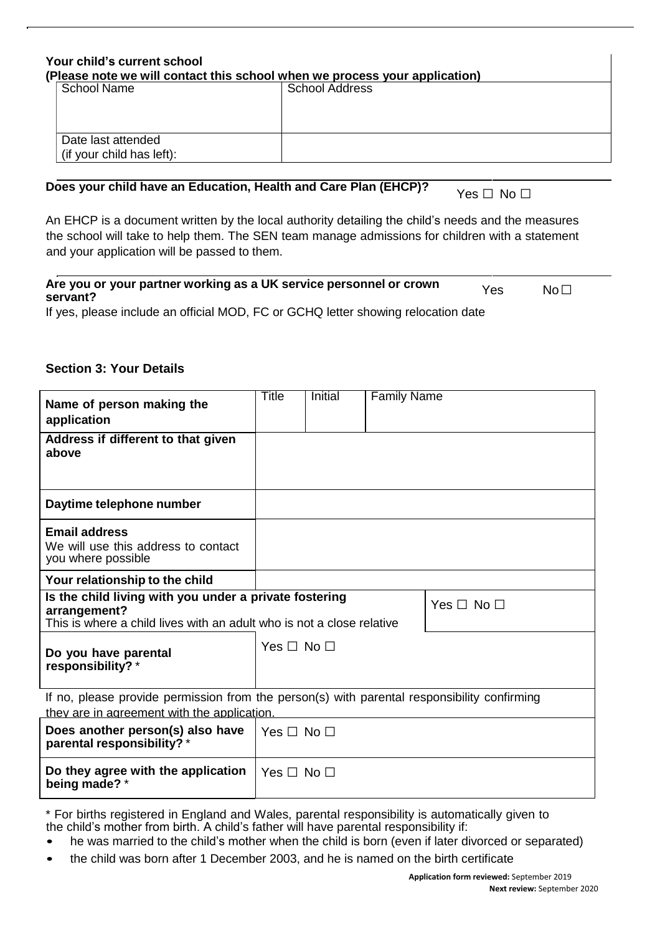| Your child's current school                                                |                       |
|----------------------------------------------------------------------------|-----------------------|
| (Please note we will contact this school when we process your application) |                       |
| School Name                                                                | <b>School Address</b> |
| Date last attended<br>(if your child has left):                            |                       |

## **Does your child have an Education, Health and Care Plan (EHCP)?** Yes □ No □

An EHCP is a document written by the local authority detailing the child's needs and the measures the school will take to help them. The SEN team manage admissions for children with a statement and your application will be passed to them.

| Are you or your partner working as a UK service personnel or crown<br>servant?    | Yes | $\mathsf{No}\,\Box$ |  |
|-----------------------------------------------------------------------------------|-----|---------------------|--|
| If yes, please include an official MOD, EC or CCHO letter showing relocation date |     |                     |  |

If yes, please include an official MOD, FC or GCHQ letter showing relocation date

## **Section 3: Your Details**

| Name of person making the<br>application                                                                                                        | Title                | <b>Initial</b> | <b>Family Name</b> |                      |
|-------------------------------------------------------------------------------------------------------------------------------------------------|----------------------|----------------|--------------------|----------------------|
| Address if different to that given<br>above                                                                                                     |                      |                |                    |                      |
| Daytime telephone number                                                                                                                        |                      |                |                    |                      |
| <b>Email address</b><br>We will use this address to contact<br>you where possible                                                               |                      |                |                    |                      |
| Your relationship to the child                                                                                                                  |                      |                |                    |                      |
| Is the child living with you under a private fostering<br>arrangement?<br>This is where a child lives with an adult who is not a close relative |                      |                |                    | Yes $\Box$ No $\Box$ |
| Do you have parental<br>responsibility?*                                                                                                        | Yes $\Box$ No $\Box$ |                |                    |                      |
| If no, please provide permission from the person(s) with parental responsibility confirming                                                     |                      |                |                    |                      |
| they are in agreement with the application.                                                                                                     |                      |                |                    |                      |
| Does another person(s) also have<br>parental responsibility? *                                                                                  | Yes $\Box$ No $\Box$ |                |                    |                      |
| Do they agree with the application<br>being made? *                                                                                             | $Yes \Box No \Box$   |                |                    |                      |

\* For births registered in England and Wales, parental responsibility is automatically given to the child's mother from birth. A child's father will have parental responsibility if:

- he was married to the child's mother when the child is born (even if later divorced or separated)
- the child was born after 1 December 2003, and he is named on the birth certificate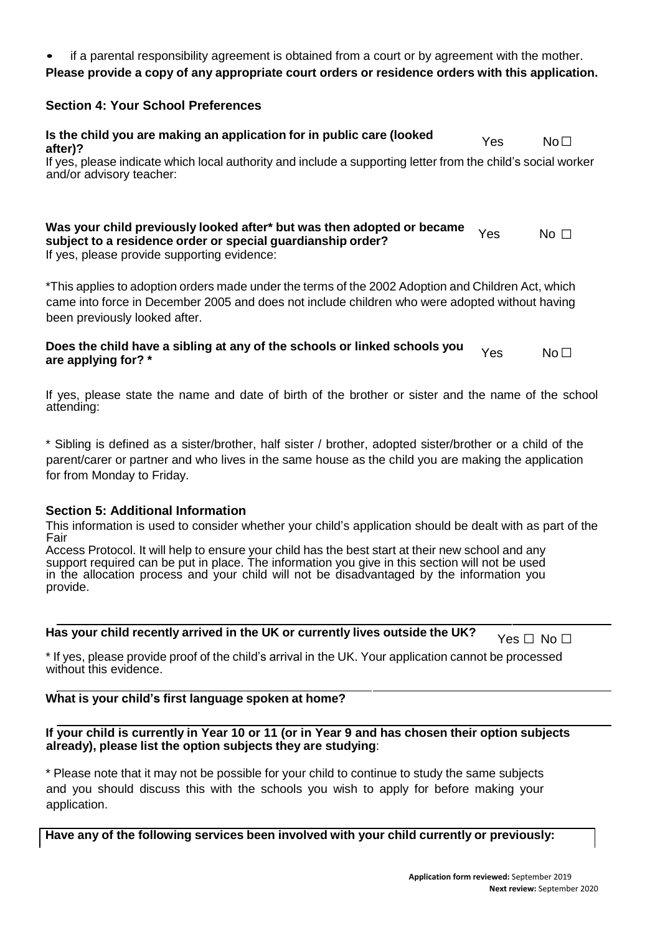• if a parental responsibility agreement is obtained from a court or by agreement with the mother.

## **Please provide a copy of any appropriate court orders or residence orders with this application.**

## **Section 4: Your School Preferences**

 $N$ o $\Box$ □ If yes, please indicate which local authority and include a supporting letter from the child's social worker **Is the child you are making an application for in public care (looked after)?** Yes No and/or advisory teacher:

 $No \nightharpoonup$ **Was your child previously looked after\* but was then adopted or became subject** to a residence order or special guardianship order? If yes, please provide supporting evidence:

\*This applies to adoption orders made under the terms of the 2002 Adoption and Children Act, which came into force in December 2005 and does not include children who were adopted without having been previously looked after.

 $N_0$ Does the child have a sibling at any of the schools or linked schools you <sub>Yes</sub> No<br>are applying for? \*

If yes, please state the name and date of birth of the brother or sister and the name of the school attending:

\* Sibling is defined as a sister/brother, half sister / brother, adopted sister/brother or a child of the parent/carer or partner and who lives in the same house as the child you are making the application for from Monday to Friday.

## **Section 5: Additional Information**

This information is used to consider whether your child's application should be dealt with as part of the Fair

Access Protocol. It will help to ensure your child has the best start at their new school and any support required can be put in place. The information you give in this section will not be used in the allocation process and your child will not be disadvantaged by the information you provide.

## **Has your child recently arrived in the UK or currently lives outside the UK?**  $\gamma_{\text{es}}$  **□ No □**

\* If yes, please provide proof of the child's arrival in the UK. Your application cannot be processed without this evidence.

## **What is your child's first language spoken at home?**

## **If your child is currently in Year 10 or 11 (or in Year 9 and has chosen their option subjects already), please list the option subjects they are studying**:

\* Please note that it may not be possible for your child to continue to study the same subjects and you should discuss this with the schools you wish to apply for before making your application.

**Have any of the following services been involved with your child currently or previously:**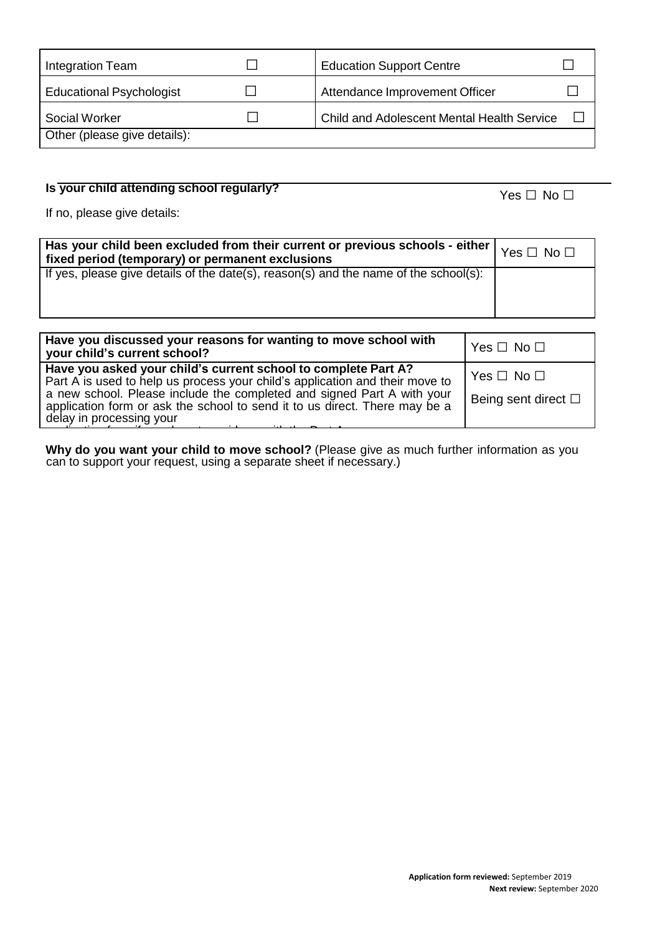| Integration Team                | <b>Education Support Centre</b>                   |  |
|---------------------------------|---------------------------------------------------|--|
| <b>Educational Psychologist</b> | Attendance Improvement Officer                    |  |
| Social Worker                   | <b>Child and Adolescent Mental Health Service</b> |  |
| Other (please give details):    |                                                   |  |

## **Is your child attending school regularly?** Yes □ No □

If no, please give details:

| . Has your child been excluded from their current or previous schools - either $\vert$ Yes $\Box$ No $\Box$<br>fixed period (temporary) or permanent exclusions |  |
|-----------------------------------------------------------------------------------------------------------------------------------------------------------------|--|
| If yes, please give details of the date(s), $reason(s)$ and the name of the school(s):                                                                          |  |

| Have you discussed your reasons for wanting to move school with<br>your child's current school?                                                                                                                                                                                                                                    | Yes $\Box$ No $\Box$                                |
|------------------------------------------------------------------------------------------------------------------------------------------------------------------------------------------------------------------------------------------------------------------------------------------------------------------------------------|-----------------------------------------------------|
| Have you asked your child's current school to complete Part A?<br>Part A is used to help us process your child's application and their move to<br>a new school. Please include the completed and signed Part A with your<br>application form or ask the school to send it to us direct. There may be a<br>delay in processing your | Yes $\Box$ No $\Box$<br>Being sent direct $\square$ |

**Why do you want your child to move school?** (Please give as much further information as you can to support your request, using a separate sheet if necessary.)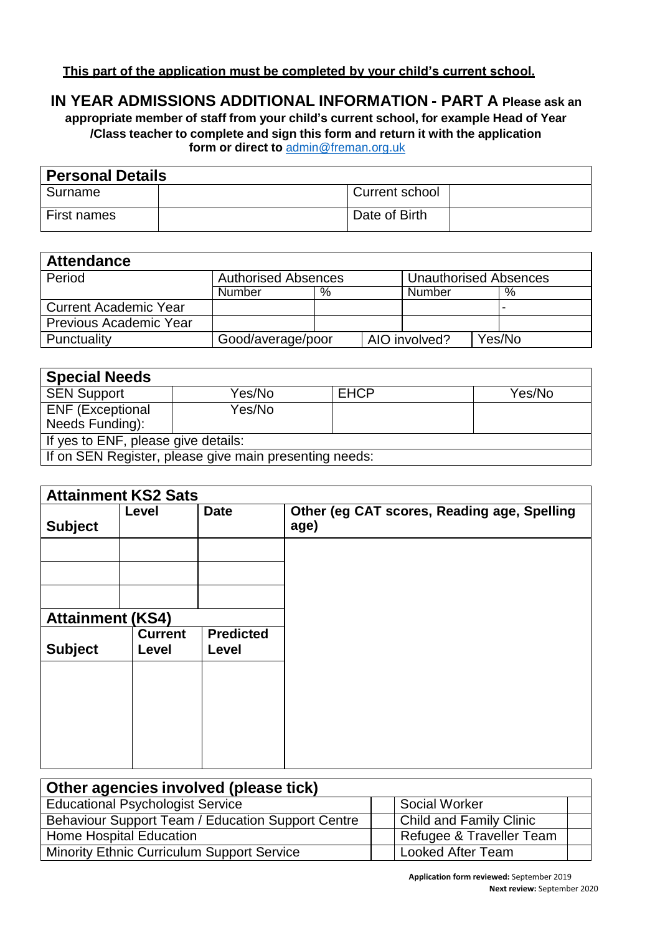## **IN YEAR ADMISSIONS ADDITIONAL INFORMATION - PART A Please ask an**

**appropriate member of staff from your child's current school, for example Head of Year /Class teacher to complete and sign this form and return it with the application form or direct to** [admin@freman.org.uk](mailto:admin@freman.org.uk) 

| <b>Personal Details</b> |  |                |  |
|-------------------------|--|----------------|--|
| Surname                 |  | Current school |  |
| First names             |  | Date of Birth  |  |

| <b>Attendance</b>             |                            |   |                              |               |  |        |
|-------------------------------|----------------------------|---|------------------------------|---------------|--|--------|
| Period                        | <b>Authorised Absences</b> |   | <b>Unauthorised Absences</b> |               |  |        |
|                               | Number                     | % |                              | Number        |  | %      |
| Current Academic Year         |                            |   |                              |               |  |        |
| <b>Previous Academic Year</b> |                            |   |                              |               |  |        |
| Punctuality                   | Good/average/poor          |   |                              | AIO involved? |  | Yes/No |

| <b>Special Needs</b>                                   |        |             |        |
|--------------------------------------------------------|--------|-------------|--------|
| <b>SEN Support</b>                                     | Yes/No | <b>EHCP</b> | Yes/No |
| <b>ENF (Exceptional</b>                                | Yes/No |             |        |
| Needs Funding):                                        |        |             |        |
| If yes to ENF, please give details:                    |        |             |        |
| If on SEN Register, please give main presenting needs: |        |             |        |

| <b>Attainment KS2 Sats</b> |                         |                           |                                                     |
|----------------------------|-------------------------|---------------------------|-----------------------------------------------------|
| <b>Subject</b>             | Level                   | <b>Date</b>               | Other (eg CAT scores, Reading age, Spelling<br>age) |
|                            |                         |                           |                                                     |
|                            |                         |                           |                                                     |
|                            |                         |                           |                                                     |
| <b>Attainment (KS4)</b>    |                         |                           |                                                     |
| <b>Subject</b>             | <b>Current</b><br>Level | <b>Predicted</b><br>Level |                                                     |
|                            |                         |                           |                                                     |
|                            |                         |                           |                                                     |
|                            |                         |                           |                                                     |
|                            |                         |                           |                                                     |
|                            |                         |                           |                                                     |

| Other agencies involved (please tick)             |                                |  |  |
|---------------------------------------------------|--------------------------------|--|--|
| <b>Educational Psychologist Service</b>           | <b>Social Worker</b>           |  |  |
| Behaviour Support Team / Education Support Centre | <b>Child and Family Clinic</b> |  |  |
| <b>Home Hospital Education</b>                    | Refugee & Traveller Team       |  |  |
| <b>Minority Ethnic Curriculum Support Service</b> | <b>Looked After Team</b>       |  |  |